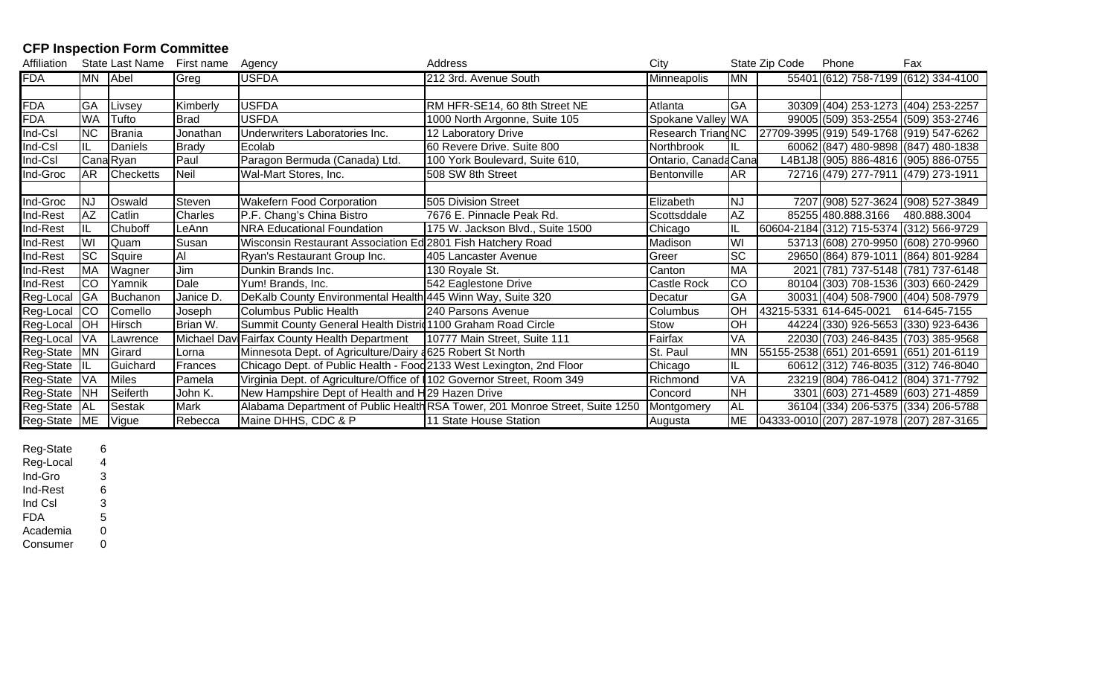## **CFP Inspection Form Committee**

| Affiliation |            | State Last Name  | First name     | Agency                                                                | Address                                                                      | City                 |                 | State Zip Code | Phone                                    | Fax                                      |
|-------------|------------|------------------|----------------|-----------------------------------------------------------------------|------------------------------------------------------------------------------|----------------------|-----------------|----------------|------------------------------------------|------------------------------------------|
| <b>FDA</b>  | MN Abel    |                  | Greg           | <b>USFDA</b>                                                          | 212 3rd. Avenue South                                                        | <b>Minneapolis</b>   | <b>MN</b>       |                |                                          | 55401 (612) 758-7199 (612) 334-4100      |
|             |            |                  |                |                                                                       |                                                                              |                      |                 |                |                                          |                                          |
| <b>FDA</b>  | <b>GA</b>  | Livsey           | Kimberly       | <b>USFDA</b>                                                          | RM HFR-SE14, 60 8th Street NE                                                | Atlanta              | GA              |                | 30309 (404) 253-1273 (404) 253-2257      |                                          |
| <b>FDA</b>  | <b>WA</b>  | Tufto            | <b>Brad</b>    | <b>USFDA</b>                                                          | 1000 North Argonne, Suite 105                                                | Spokane Valley WA    |                 |                |                                          | 99005 (509) 353-2554 (509) 353-2746      |
| Ind-Csl     | <b>NC</b>  | Brania           | Jonathan       | Underwriters Laboratories Inc.                                        | 12 Laboratory Drive                                                          | Research TriangNC    |                 |                |                                          | 27709-3995 (919) 549-1768 (919) 547-6262 |
| Ind-Csl     |            | <b>Daniels</b>   | Brady          | Ecolab                                                                | 60 Revere Drive. Suite 800                                                   | Northbrook           |                 |                |                                          | 60062 (847) 480-9898 (847) 480-1838      |
| Ind-Csl     |            | Cana Ryan        | Paul           | Paragon Bermuda (Canada) Ltd.                                         | 100 York Boulevard, Suite 610,                                               | Ontario, Canada Cana |                 |                |                                          | L4B1J8 (905) 886-4816  (905) 886-0755    |
| Ind-Groc    | <b>AR</b>  | <b>Checketts</b> | <b>Neil</b>    | Wal-Mart Stores, Inc.                                                 | 508 SW 8th Street                                                            | Bentonville          | AR              |                | 72716 (479) 277-7911 (479) 273-1911      |                                          |
|             |            |                  |                |                                                                       |                                                                              |                      |                 |                |                                          |                                          |
| Ind-Groc    | <b>NJ</b>  | Oswald           | Steven         | <b>Wakefern Food Corporation</b>                                      | 505 Division Street                                                          | Elizabeth            | <b>NJ</b>       |                |                                          | 7207 (908) 527-3624 (908) 527-3849       |
| Ind-Rest    | AZ         | Catlin           | Charles        | P.F. Chang's China Bistro                                             | 7676 E. Pinnacle Peak Rd.                                                    | Scottsddale          | AZ              |                | 85255 480.888.3166 480.888.3004          |                                          |
| Ind-Rest    | IL.        | Chuboff          | LeAnn          | <b>NRA Educational Foundation</b>                                     | 175 W. Jackson Blvd., Suite 1500                                             | Chicago              |                 |                | 60604-2184 (312) 715-5374 (312) 566-9729 |                                          |
| Ind-Rest    | WI         | Quam             | Susan          | Wisconsin Restaurant Association Ed 2801 Fish Hatchery Road           |                                                                              | Madison              | WI              |                |                                          | 53713 (608) 270-9950 (608) 270-9960      |
| Ind-Rest    | <b>ISC</b> | Squire           | $\overline{A}$ | Ryan's Restaurant Group Inc.                                          | 405 Lancaster Avenue                                                         | Greer                | $\overline{SC}$ |                | 29650 (864) 879-1011 (864) 801-9284      |                                          |
| Ind-Rest    | <b>MA</b>  | Wagner           | Jim            | Dunkin Brands Inc.                                                    | 130 Royale St.                                                               | Canton               | <b>MA</b>       |                | 2021 (781) 737-5148 (781) 737-6148       |                                          |
| Ind-Rest    | ICO        | Yamnik           | Dale           | Yum! Brands, Inc.                                                     | 542 Eaglestone Drive                                                         | Castle Rock          | CO              |                |                                          | 80104 (303) 708-1536 (303) 660-2429      |
| Reg-Local   | <b>GA</b>  | Buchanon         | Janice D.      | DeKalb County Environmental Health 445 Winn Way, Suite 320            |                                                                              | Decatur              | GA              |                |                                          | 30031 (404) 508-7900 (404) 508-7979      |
| Reg-Local   | <b>CO</b>  | Comello          | Joseph         | Columbus Public Health                                                | 240 Parsons Avenue                                                           | Columbus             | $\overline{C}$  |                | 43215-5331 614-645-0021                  | 614-645-7155                             |
| Reg-Local   | <b>OH</b>  | Hirsch           | Brian W.       | Summit County General Health Distric 1100 Graham Road Circle          |                                                                              | Stow                 | $\overline{CH}$ |                |                                          | 44224 (330) 926-5653 (330) 923-6436      |
| Reg-Local   | <b>VA</b>  | Lawrence         | Michael Dav    | ViFairfax County Health Department                                    | 10777 Main Street, Suite 111                                                 | Fairfax              | VA              |                |                                          | 22030 (703) 246-8435 (703) 385-9568      |
| Reg-State   | <b>MN</b>  | Girard           | Lorna          | Minnesota Dept. of Agriculture/Dairy 4625 Robert St North             |                                                                              | St. Paul             | <b>MN</b>       |                |                                          | 55155-2538 (651) 201-6591 (651) 201-6119 |
| Reg-State   |            | Guichard         | Frances        | Chicago Dept. of Public Health - Food 2133 West Lexington, 2nd Floor  |                                                                              | Chicago              |                 |                |                                          | 60612 (312) 746-8035 (312) 746-8040      |
| Reg-State   | VA         | <b>Miles</b>     | Pamela         | Virginia Dept. of Agriculture/Office of 102 Governor Street, Room 349 |                                                                              | Richmond             | VA              |                |                                          | 23219 (804) 786-0412 (804) 371-7792      |
| Reg-State   | <b>NH</b>  | Seiferth         | John K.        | New Hampshire Dept of Health and H29 Hazen Drive                      |                                                                              | Concord              | NΗ              |                |                                          | 3301 (603) 271-4589 (603) 271-4859       |
| Reg-State   | IAL        | <b>Sestak</b>    | <b>Mark</b>    |                                                                       | Alabama Department of Public Health RSA Tower, 201 Monroe Street, Suite 1250 | Montgomery           | <b>AL</b>       |                |                                          | 36104 (334) 206-5375 (334) 206-5788      |
| Reg-State   | <b>ME</b>  | Vigue            | Rebecca        | Maine DHHS, CDC & P                                                   | 11 State House Station                                                       | Augusta              | ME              |                |                                          | 04333-0010 (207) 287-1978 (207) 287-3165 |

Reg-State 6 Reg-Local 4 Ind-Gro 3 $\mathbf{3}$ Ind-Rest 6 $\,6\,$ Ind CsI  $\mathbf{3}$ **FDA**  $5\phantom{.0}$ Academia  $\mathbf 0$ 

Consumer 0